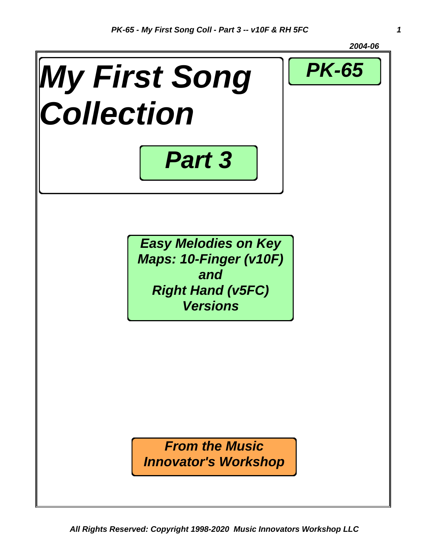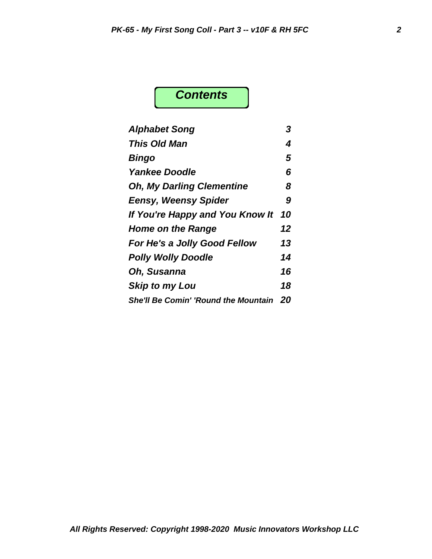# *Contents*

| <b>Alphabet Song</b>                    | 3  |
|-----------------------------------------|----|
| <b>This Old Man</b>                     | 4  |
| <b>Bingo</b>                            | 5  |
| <b>Yankee Doodle</b>                    | 6  |
| <b>Oh, My Darling Clementine</b>        | 8  |
| <b>Eensy, Weensy Spider</b>             | 9  |
| If You're Happy and You Know It         | 10 |
| <b>Home on the Range</b>                | 12 |
| For He's a Jolly Good Fellow            | 13 |
| <b>Polly Wolly Doodle</b>               | 14 |
| Oh, Susanna                             | 16 |
| <b>Skip to my Lou</b>                   | 18 |
| She'll Be Comin' 'Round the Mountain 20 |    |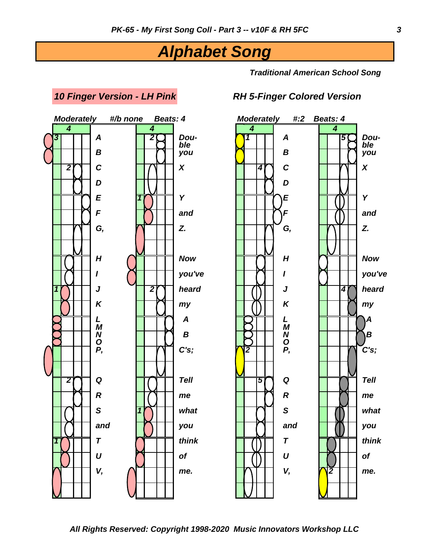# *Alphabet Song*

*Traditional American School Song*



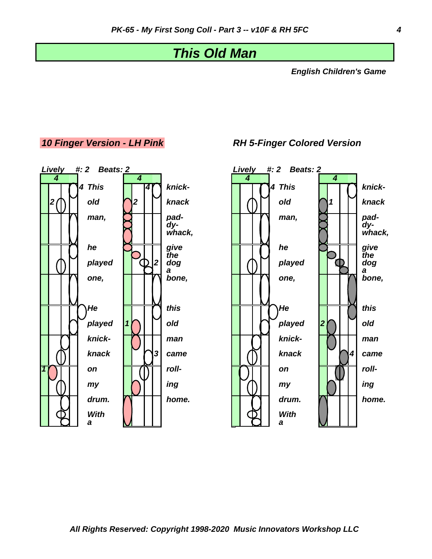### *This Old Man*

*English Children's Game* 



### *10 Finger Version - LH Pink RH 5-Finger Colored Version*

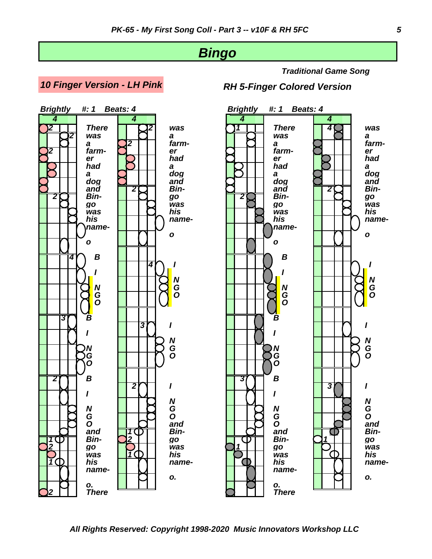### *Bingo*

*10 Finger Version - LH Pink RH 5-Finger Colored Version*



*Traditional Game Song*

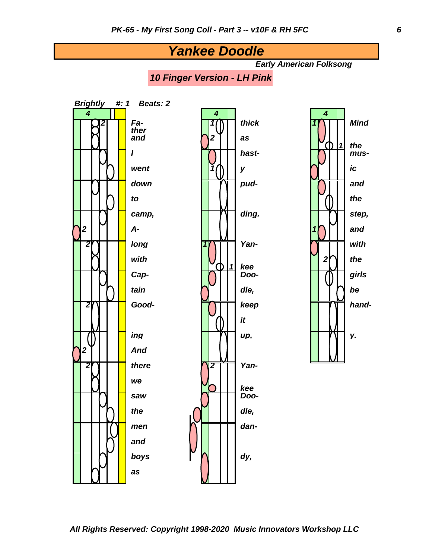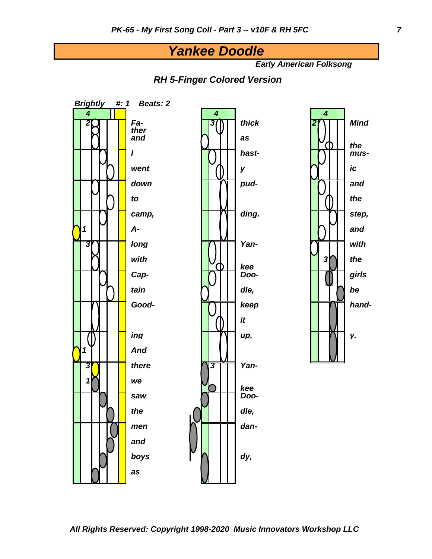### *Yankee Doodle*

*Early American Folksong*

*RH 5-Finger Colored Version*

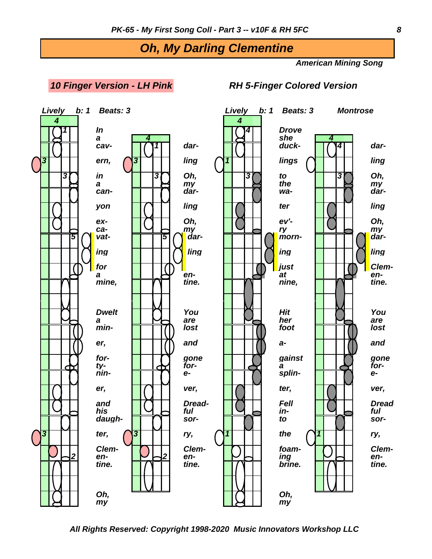### *Oh, My Darling Clementine*

*American Mining Song*

*10 Finger Version - LH Pink RH 5-Finger Colored Version*



*All Rights Reserved: Copyright 1998-2020 Music Innovators Workshop LLC*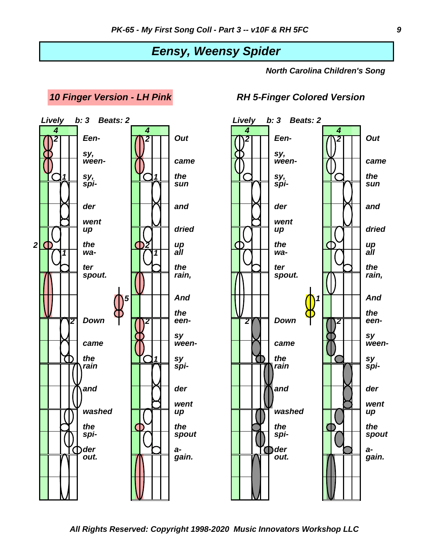### *Eensy, Weensy Spider*

*North Carolina Children's Song*



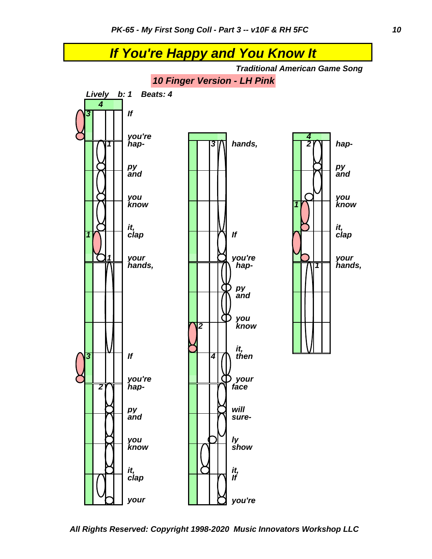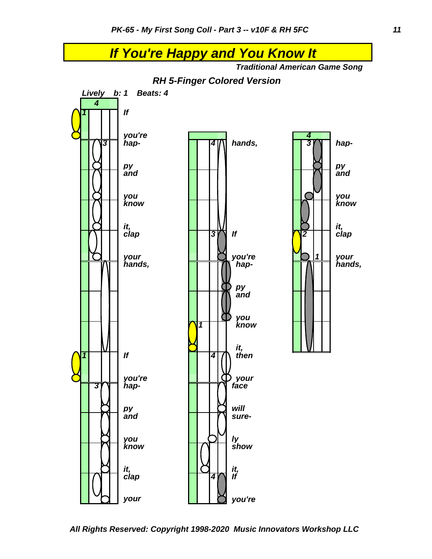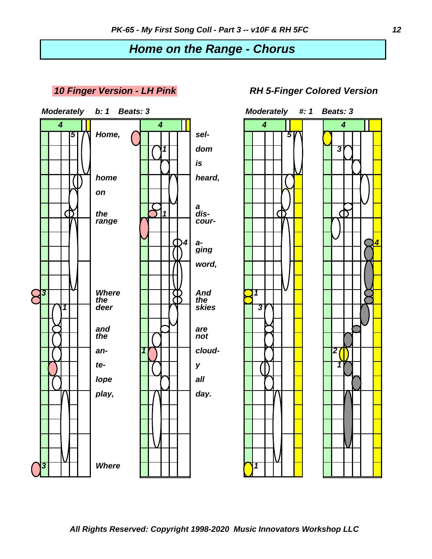# *Home on the Range - Chorus*



### *10 Finger Version - LH Pink RH 5-Finger Colored Version*



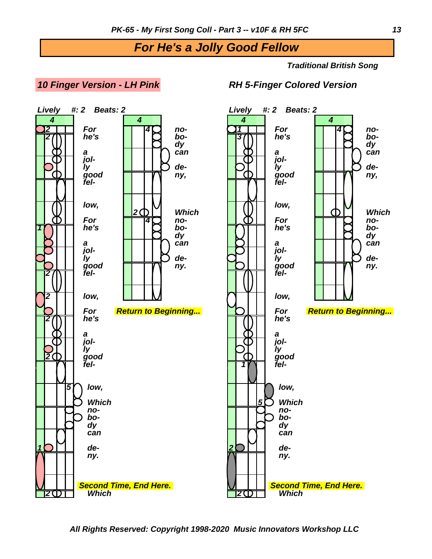### *For He's a Jolly Good Fellow*

*Traditional British Song*

### *10 Finger Version - LH Pink RH 5-Finger Colored Version*

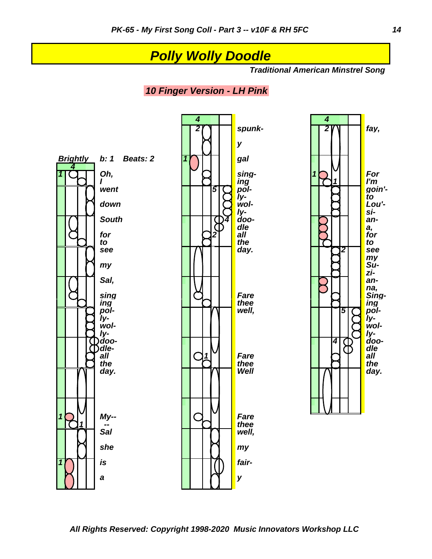### *Polly Wolly Doodle*

*Traditional American Minstrel Song*

### *10 Finger Version - LH Pink*

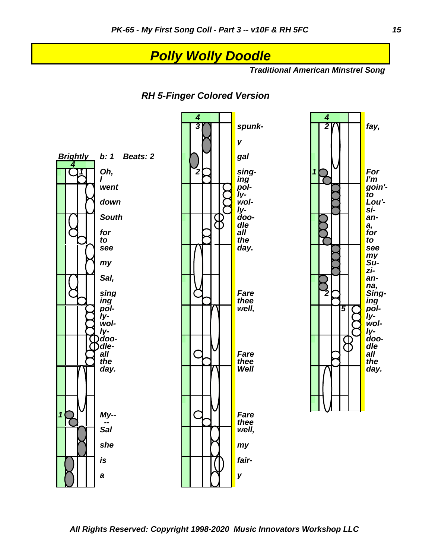### *Polly Wolly Doodle*

*Traditional American Minstrel Song*



*RH 5-Finger Colored Version*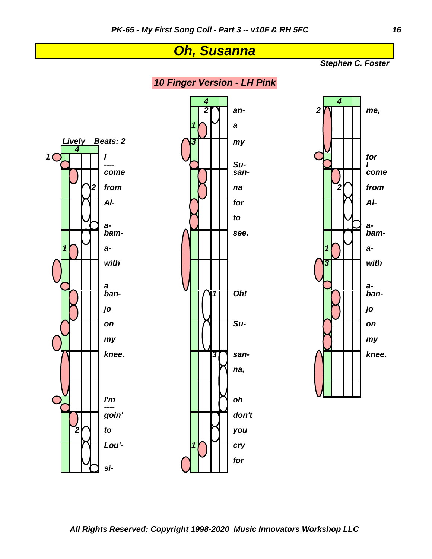# *Oh, Susanna*

*Stephen C. Foster*

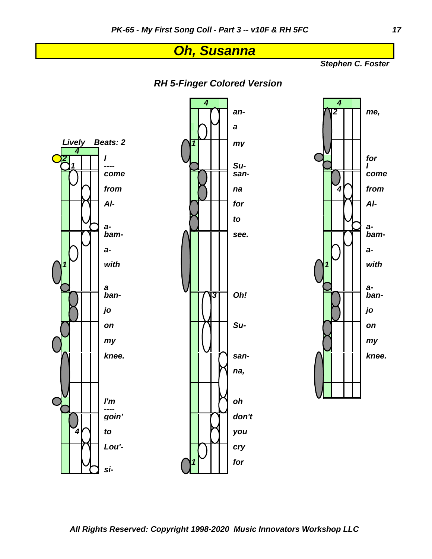## *Oh, Susanna*

*Stephen C. Foster*





*a*

*to*

*na,*

*1 for*

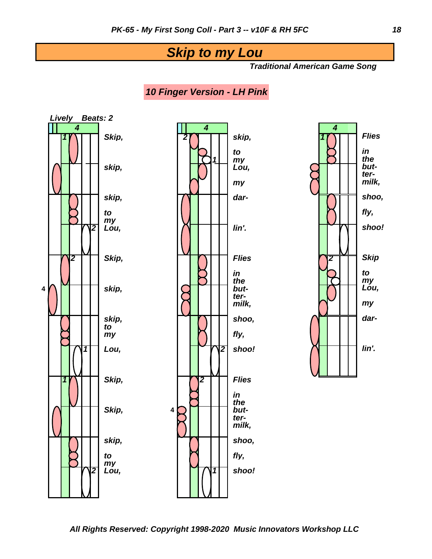### *Skip to my Lou*

*Traditional American Game Song*

*10 Finger Version - LH Pink*



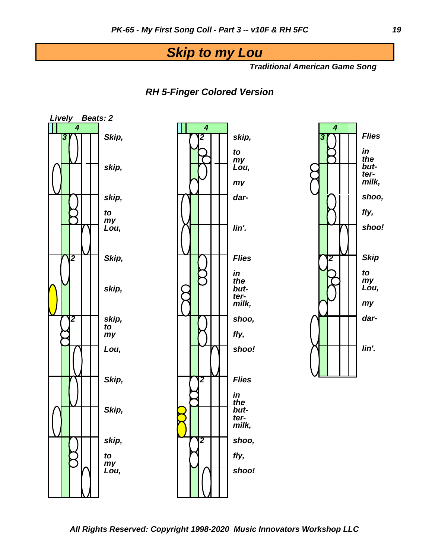### *Skip to my Lou*

*Traditional American Game Song*



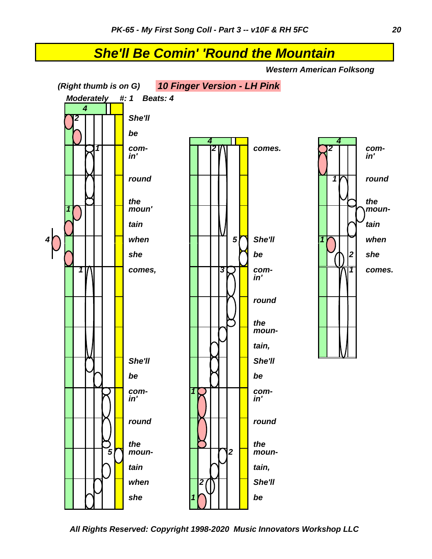## *She'll Be Comin' 'Round the Mountain*

*Western American Folksong*

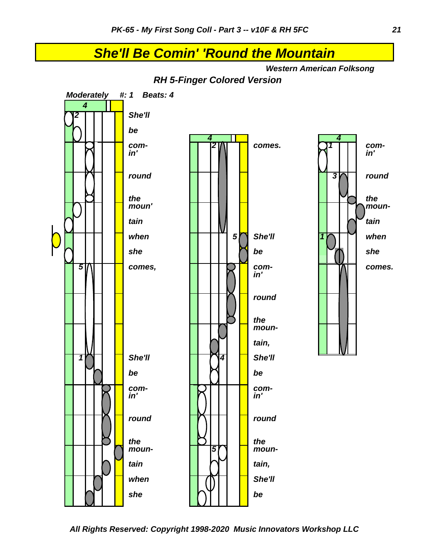## *She'll Be Comin' 'Round the Mountain*

*Western American Folksong*

*RH 5-Finger Colored Version*